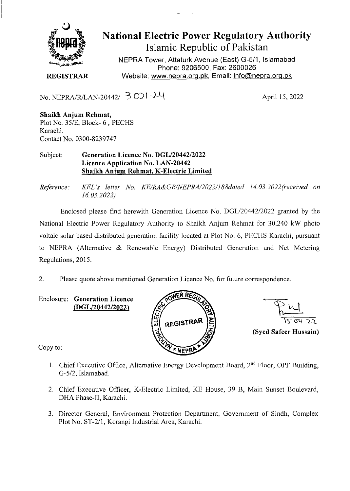

**National Electric Power Regulatory Authority Islamic Republic of Pakistan** 

NEPRA Tower, Attaturk Avenue (East) G-511, **Islamabad Phone: 9206500, Fax: 2600026 REGISTRAR** Website: www.nepra.org.pk, Email: info@nepra.org.pk

No. NEPRA/R/LAN-20442/  $\overline{3}$  O21-24<br>April 15, 2022

**Shaikh Anjum Rehmat,**  Plot No. *351E,* Block- 6, PECHS Karachi. Contact No. 0300-8239747

Subject: **Generation Licence No. DGL/20442/2022 Licence Application No. LAN-20442 Shaikh Anjum Rehmat, K-Electric Limited** 

*Reference: KEL 's letter No. KE/RA&GR/NEPRA/2022/188da1ed 14. 03.2022(received on 16.03.2022).* 

Enclosed please find herewith Generation Licence No. DGL/20442/2022 granted by the National Electric Power Regulatory Authority to Shaikh Anjum Rehmat for 30.240 kW photo voltaic solar based distributed generation facility located at Plot No. 6, PECHS Karachi, pursuant to NEPRA (Alternative & Renewable Energy) Distributed Generation and Net Metering Regulations, 2015.

2. Please quote above mentioned Generation Licence No. for future correspondence.

Enclosure: **Generation Licence**  *(DGL/2044212 022)* 





Copy to:

- 1. Chief Executive Office, Alternative Energy Development Board,  $2<sup>nd</sup>$  Floor, OPF Building, *G-5/2,* Islamabad.
- 2. Chief Executive Officer, K-Electric Limited, KE House, 39 B, Main Sunset Boulevard, DHA Phase-II, Karachi.
- 3. Director General, Environment Protection Department, Government of Sindh, Complex Plot No. ST-2/l, Korangi Industrial Area, Karachi.